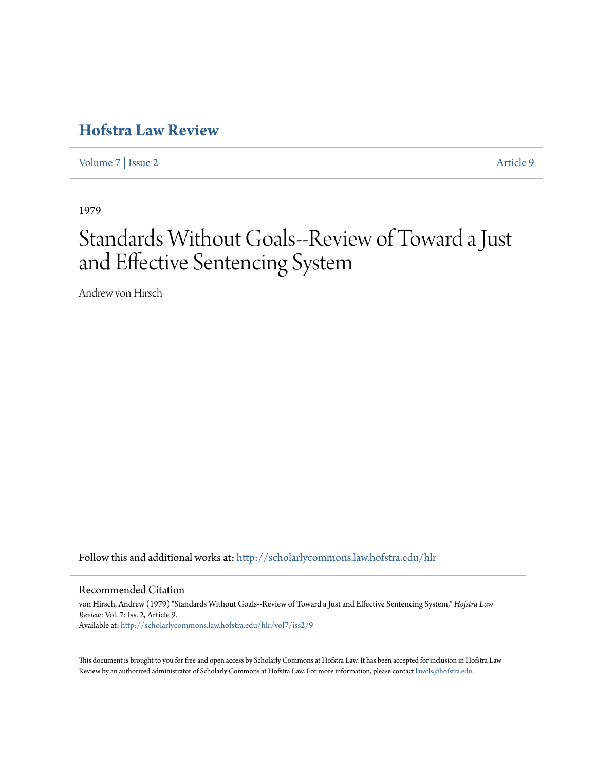## **[Hofstra Law Review](http://scholarlycommons.law.hofstra.edu/hlr?utm_source=scholarlycommons.law.hofstra.edu%2Fhlr%2Fvol7%2Fiss2%2F9&utm_medium=PDF&utm_campaign=PDFCoverPages)**

[Volume 7](http://scholarlycommons.law.hofstra.edu/hlr/vol7?utm_source=scholarlycommons.law.hofstra.edu%2Fhlr%2Fvol7%2Fiss2%2F9&utm_medium=PDF&utm_campaign=PDFCoverPages) | [Issue 2](http://scholarlycommons.law.hofstra.edu/hlr/vol7/iss2?utm_source=scholarlycommons.law.hofstra.edu%2Fhlr%2Fvol7%2Fiss2%2F9&utm_medium=PDF&utm_campaign=PDFCoverPages) [Article 9](http://scholarlycommons.law.hofstra.edu/hlr/vol7/iss2/9?utm_source=scholarlycommons.law.hofstra.edu%2Fhlr%2Fvol7%2Fiss2%2F9&utm_medium=PDF&utm_campaign=PDFCoverPages)

1979

# Standards Without Goals--Review of Toward a Just and Effective Sentencing System

Andrew von Hirsch

Follow this and additional works at: [http://scholarlycommons.law.hofstra.edu/hlr](http://scholarlycommons.law.hofstra.edu/hlr?utm_source=scholarlycommons.law.hofstra.edu%2Fhlr%2Fvol7%2Fiss2%2F9&utm_medium=PDF&utm_campaign=PDFCoverPages)

#### Recommended Citation

von Hirsch, Andrew (1979) "Standards Without Goals--Review of Toward a Just and Effective Sentencing System," *Hofstra Law Review*: Vol. 7: Iss. 2, Article 9. Available at: [http://scholarlycommons.law.hofstra.edu/hlr/vol7/iss2/9](http://scholarlycommons.law.hofstra.edu/hlr/vol7/iss2/9?utm_source=scholarlycommons.law.hofstra.edu%2Fhlr%2Fvol7%2Fiss2%2F9&utm_medium=PDF&utm_campaign=PDFCoverPages)

This document is brought to you for free and open access by Scholarly Commons at Hofstra Law. It has been accepted for inclusion in Hofstra Law Review by an authorized administrator of Scholarly Commons at Hofstra Law. For more information, please contact [lawcls@hofstra.edu](mailto:lawcls@hofstra.edu).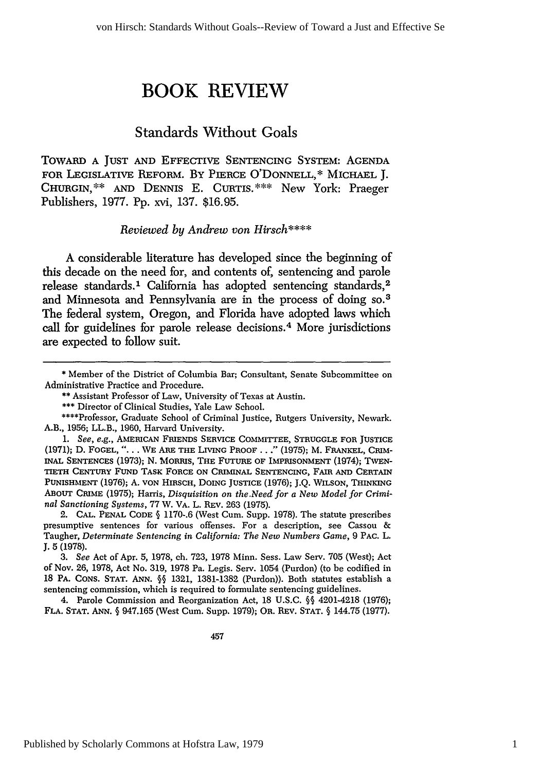## **BOOK REVIEW**

### Standards Without Goals

TOWARD **A JUST AND EFFECTIVE SENTENCING** SYSTEM: **AGENDA** FOR LEGISLATIVE REFORM. By PIERCE O'DONNELL,\* **MICHAEL** J. **CHURGIN,\*\* AND** DENNIS E. CURTIS.\*\*\* New York: Praeger Publishers, 1977. Pp. xvi, 137. \$16.95.

#### *Reviewed by Andrew von Hirsch\*\*\*\**

**A** considerable literature has developed since the beginning of this decade on the need for, and contents of, sentencing and parole release standards.' California has adopted sentencing standards, <sup>2</sup> and Minnesota and Pennsylvania are **in** the process of doing **so. <sup>3</sup>** The federal system, Oregon, and Florida have adopted laws which call for guidelines for parole release decisions. 4 More jurisdictions are expected to follow suit.

2. CAL. PENAL CODE **§** 1170-.6 (West Cum. Supp. 1978). The statute prescribes presumptive sentences for various offenses. For a description, see Cassou & Taugher, *Determinate Sentencing in California: The New Numbers Game,* 9 PAC. L. **J.** 5 (1978).

*3. See* Act of Apr. **5,** 1978, ch. 723, 1978 Minn. Sess. Law Serv. 705 (West); Act of Nov. 26, 1978, Act No. 319, 1978 Pa. Legis. Serv. 1054 (Purdon) (to be codified in 18 PA. CONS. STAT. **ANN. §§** 1321, 1381-1382 (Purdon)). Both statutes establish a sentencing commission, which is required to formulate sentencing guidelines.

4. Parole Commission and Reorganization Act, 18 U.S.C. **§§** 4201-4218 (1976); FLA. STAT. **ANN. §** 947.165 (West Cum. Supp. 1979); OR. REV. STAT. **§** 144.75 (1977).

<sup>\*</sup> Member of the District of Columbia Bar; Consultant, Senate Subcommittee on Administrative Practice and Procedure.

<sup>\*\*</sup> Assistant Professor of Law, University of Texas at Austin.

**<sup>\*\*\*</sup>** Director of Clinical Studies, Yale Law School.

<sup>\*\*\*\*</sup>Professor, Graduate School of Criminal Justice, Rutgers University, Newark. A.B., 1956; LL.B., 1960, Harvard University.

*<sup>1.</sup> See, e.g.,* AMERICAN FRIENDS SERVICE **COMMITTEE, STRUGGLE** FOR **JUSTICE** (1971); D. FOGEL, *"....* WE **ABE** THE LIVING PROOF **. .** ." (1975); M. FRANKEL, CRIM-INAL **SENTENCES** (1973); N. MORRIS, THE FUTURE OF IMPRISONMENT (1974); TWEN-TIETH CENTURY FUND TASK FORCE **ON** CRIMINAL SENTENCING, FAIR **AND** CERTAIN PUNISHMENT (1976); A. VON HIRSCH, DOING JUSTICE (1976); J.Q. WILSON, THINKING ABOUT CRIME (1975); Harris, *Disquisition on the.Need for a New Model for Criminal Sanctioning Systems,* 77 W. VA. L. REV. 263 (1975).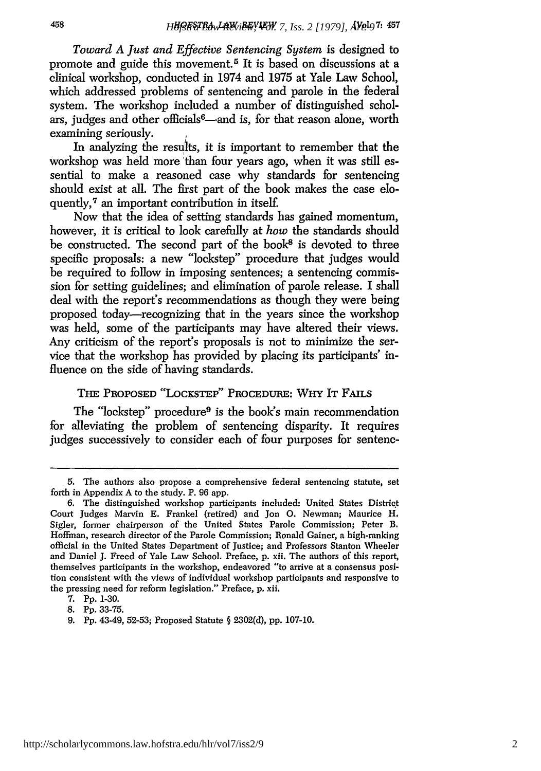*Toward A Just and Effective Sentencing System* is designed to promote and guide this movement.<sup>5</sup> It is based on discussions at a clinical workshop, conducted in 1974 and 1975 at Yale Law School, which addressed problems of sentencing and parole in the federal system. The workshop included a number of distinguished scholars, judges and other officials<sup>6</sup>—and is, for that reason alone, worth examining seriously.

In analyzing the results, it is important to remember that the workshop was held more than four years ago, when it was still essential to make a reasoned case why standards for sentencing should exist at all. The first part of the book makes the case eloquently,<sup>7</sup> an important contribution in itself.

Now that the idea of setting standards has gained momentum, however, it is critical to look carefully at *how* the standards should be constructed. The second part of the book<sup>8</sup> is devoted to three specific proposals: a new "lockstep" procedure that judges would be required to follow in imposing sentences; a sentencing commission for setting guidelines; and elimination of parole release. I shall deal with the report's recommendations as though they were being proposed today-recognizing that in the years since the workshop was held, some of the participants may have altered their views. Any criticism of the report's proposals is not to minimize the service that the workshop has provided by placing its participants' influence on the side of having standards.

#### **THE** PROPOSED **"LOCKSTEP"** PROCEDURE: WHY IT **FAILS**

The "lockstep" procedure<sup>9</sup> is the book's main recommendation for alleviating the problem of sentencing disparity. It requires judges successively to consider each of four purposes for sentenc-

<sup>5.</sup> The authors also propose a comprehensive federal sentencing statute, set forth in Appendix A to the study. P. 96 app.

<sup>6.</sup> The distinguished workshop participants included: United States District Court Judges Marvin E. Frankel (retired) and Jon **0.** Newman; Maurice H. Sigler, former chairperson of the United States Parole Commission; Peter B. Hoffman, research director of the Parole Commission; Ronald Gainer, a high-ranking official in the United States Department of Justice; and Professors Stanton Wheeler and Daniel J. Freed of Yale Law School. Preface, p. xii. The authors of this report, themselves participants in the workshop, endeavored "to arrive at a consensus position consistent with the views of individual workshop participants and responsive to the pressing need for reform legislation." Preface, p. xii.

<sup>7.</sup> Pp. 1-30.

<sup>8.</sup> Pp. 33-75.

<sup>9.</sup> Pp. 43-49, 52-53; Proposed Statute **§** 2302(d), pp. 107-10.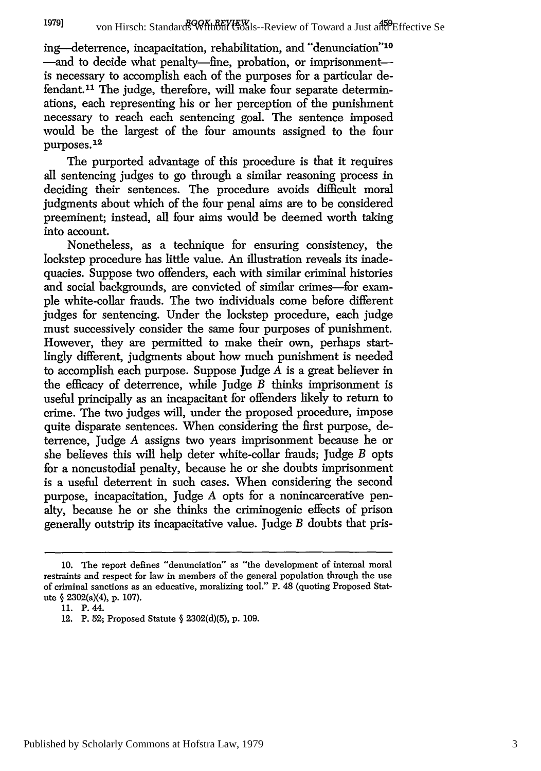von Hirsch: Standards Without Goals--Review of Toward a Just and Effective Se **1979]**

ing-deterrence, incapacitation, rehabilitation, and "denunciation"<sup>10</sup> -and to decide what penalty-fine, probation, or imprisonmentis necessary to accomplish each of the purposes for a particular defendant.<sup>11</sup> The judge, therefore, will make four separate determinations, each representing his or her perception of the punishment necessary to reach each sentencing goal. The sentence imposed would be the largest of the four amounts assigned to the four purposes.<sup>12</sup>

The purported advantage of this procedure is that it requires all sentencing judges to go through a similar reasoning process in deciding their sentences. The procedure avoids difficult moral judgments about which of the four penal aims are to be considered preeminent; instead, all four aims would be deemed worth taking into account.

Nonetheless, as a technique for ensuring consistency, the lockstep procedure has little value. An illustration reveals its inadequacies. Suppose two offenders, each with similar criminal histories and social backgrounds, are convicted of similar crimes-for example white-collar frauds. The two individuals come before different judges for sentencing. Under the lockstep procedure, each judge must successively consider the same four purposes of punishment. However, they are permitted to make their own, perhaps startlingly different, judgments about how much punishment is needed to accomplish each purpose. Suppose Judge *A* is a great believer in the efficacy of deterrence, while Judge *B* thinks imprisonment is useful principally as an incapacitant for offenders likely to return to crime. The two judges will, under the proposed procedure, impose quite disparate sentences. When considering the first purpose, deterrence, Judge *A* assigns two years imprisonment because he or she believes this will help deter white-collar frauds; Judge *B* opts for a noncustodial penalty, because he or she doubts imprisonment is a useful deterrent in such cases. When considering the second purpose, incapacitation, Judge *A* opts for a nonincarcerative penalty, because he or she thinks the criminogenic effects of prison generally outstrip its incapacitative value. Judge *B* doubts that pris-

<sup>10.</sup> The report defines "denunciation" as "the development of internal moral restraints and respect for law in members of the general population through the use of criminal sanctions as an educative, moralizing tool." P. 48 (quoting Proposed Statute **§** 2302(a)(4), p. 107).

<sup>11.</sup> P. 44.

<sup>12.</sup> P. 52; Proposed Statute § 2302(d)(5), p. 109.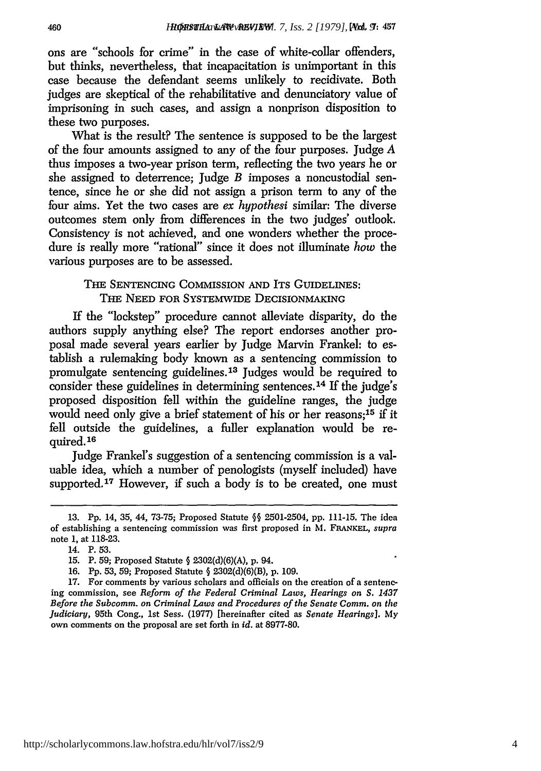ons are "schools for crime" in the case of white-collar offenders, but thinks, nevertheless, that incapacitation is unimportant in this case because the defendant seems unlikely to recidivate. Both judges are skeptical of the rehabilitative and denunciatory value of imprisoning in such cases, and assign a nonprison disposition to these two purposes.

What is the result? The sentence is supposed to be the largest of the four amounts assigned to any of the four purposes. Judge *A* thus imposes a two-year prison term, reflecting the two years he or she assigned to deterrence; Judge *B* imposes a noncustodial sentence, since he or she did not assign a prison term to any of the four aims. Yet the two cases are ex *hypothesi* similar: The diverse outcomes stem only from differences in the two judges' outlook. Consistency is not achieved, and one wonders whether the procedure is really more "rational" since it does not illuminate *how* the various purposes are to be assessed.

#### THE SENTENCING COMMISSION AND ITS GUIDELINES: THE NEED FOR SYSTEMWIDE DECISIONMAKING

If the "lockstep" procedure cannot alleviate disparity, do the authors supply anything else? The report endorses another proposal made several years earlier by Judge Marvin Frankel: to establish a rulemaking body known as a sentencing commission to promulgate sentencing guidelines.13 Judges would be required to consider these guidelines in determining sentences.<sup>14</sup> If the judge's proposed disposition fell within the guideline ranges, the judge would need only give a brief statement of his or her reasons;<sup>15</sup> if it fell outside the guidelines, a fuller explanation would be re $quired.<sup>16</sup>$ 

Judge Frankel's suggestion of a sentencing commission is a valuable idea, which a number of penologists (myself included) have supported.<sup>17</sup> However, if such a body is to be created, one must

<sup>13.</sup> **Pp.** 14, 35, 44, 73-75; Proposed Statute **§§** 2501-2504, **pp.** 111-15. The idea of establishing a sentencing commission was first proposed in M. FRANKEL, *supra* note 1, at 118-23.

<sup>14.</sup> P. 53.

**<sup>15.</sup>** P. **59;** Proposed Statute **§** 2302(d)(6)(A), **p.** 94.

<sup>16.</sup> **Pp.** 53, 59; Proposed Statute § 2302(d)(6)(B), p. 109.

<sup>17.</sup> For comments by various scholars and officials on the creation of a sentencing commission, see *Reform of the Federal Criminal Laws, Hearings on S. 1437 Before the Subcomm. on Criminal Laws and Procedures of the Senate Comm. on the Judiciary,* 95th Cong., 1st Sess. (1977) [hereinafter cited as *Senate Hearings].* My own comments on the proposal are set forth in *id.* at 8977-80.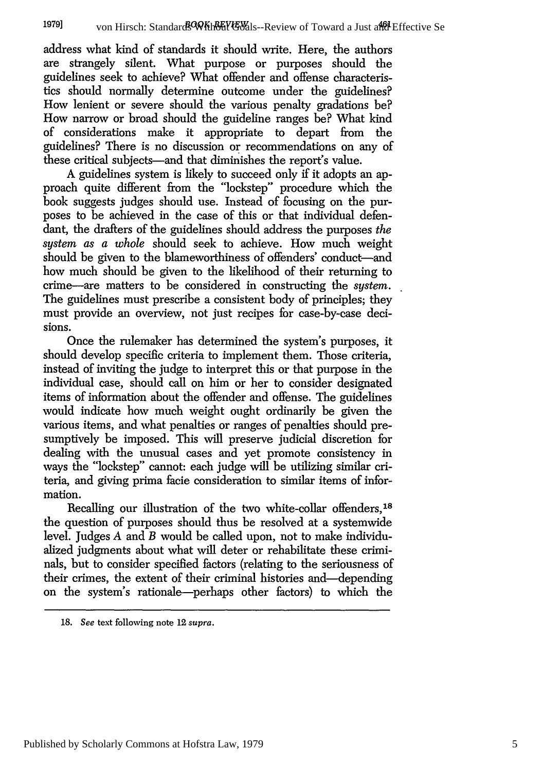address what kind of standards it should write. Here, the authors are strangely silent. What purpose or purposes should the guidelines seek to achieve? What offender and offense characteristics should normally determine outcome under the guidelines? How lenient or severe should the various penalty gradations be? How narrow or broad should the guideline ranges be? What kind of considerations make it appropriate to depart from the guidelines? There is no discussion or recommendations on any of these critical subjects-and that diminishes the report's value.

A guidelines system is likely to succeed only if it adopts an approach quite different from the "lockstep" procedure which the book suggests judges should use. Instead of focusing on the purposes to be achieved in the case of this or that individual defendant, the drafters of the guidelines should address the purposes *the system as a whole* should seek to achieve. How much weight should be given to the blameworthiness of offenders' conduct-and how much should be given to the likelihood of their returning to crime-are matters to be considered in constructing the *system.* The guidelines must prescribe a consistent body of principles; they must provide an overview, not just recipes for case-by-case decisions.

Once the rulemaker has determined the system's purposes, it should develop specific criteria to implement them. Those criteria, instead of inviting the judge to interpret this or that purpose in the individual case, should call on him or her to consider designated items of information about the offender and offense. The guidelines would indicate how much weight ought ordinarily be given the various items, and what penalties or ranges of penalties should presumptively be imposed. This will preserve judicial discretion for dealing with the unusual cases and yet promote consistency in ways the "lockstep" cannot: each judge will be utilizing similar criteria, and giving prima facie consideration to similar items of information.

Recalling our illustration of the two white-collar offenders,<sup>18</sup> the question of purposes should thus be resolved at a systemwide level. Judges *A* and *B* would be called upon, not to make individualized judgments about what will deter or rehabilitate these criminals, but to consider specified factors (relating to the seriousness of their crimes, the extent of their criminal histories and-depending on the system's rationale-perhaps other factors) to which the

<sup>18.</sup> *See* text following note 12 *supra.*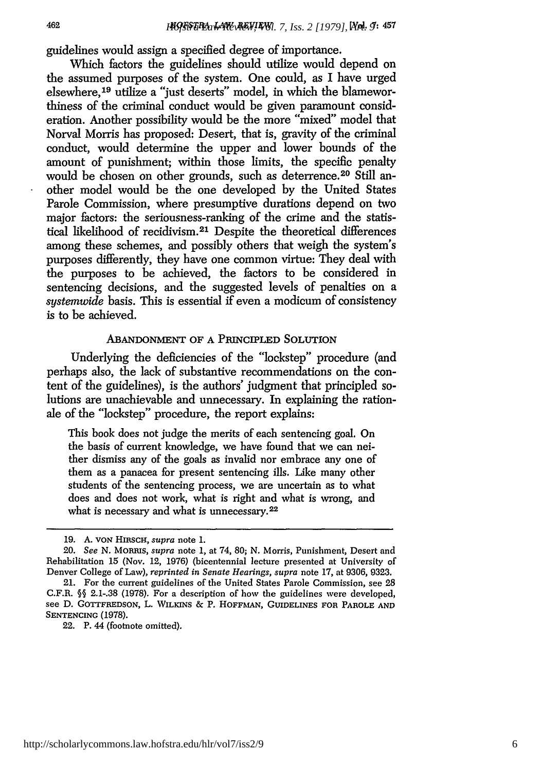guidelines would assign a specified degree of importance.

Which factors the guidelines should utilize would depend on the assumed purposes of the system. One could, as I have urged elsewhere, 19 utilize a "just deserts" model, in which the blameworthiness of the criminal conduct would be given paramount consideration. Another possibility would be the more "mixed" model that Norval Morris has proposed: Desert, that is, gravity of the criminal conduct, would determine the upper and lower bounds of the amount of punishment; within those limits, the specific penalty would be chosen on other grounds, such as deterrence.<sup>20</sup> Still another model would be the one developed by the United States Parole Commission, where presumptive durations depend on two major factors: the seriousness-ranking of the crime and the statistical likelihood of recidivism.<sup>21</sup> Despite the theoretical differences among these schemes, and possibly others that weigh the system's purposes differently, they have one common virtue: They deal with the purposes to be achieved, the factors to be considered in sentencing decisions, and the suggested levels of penalties on a sustemwide basis. This is essential if even a modicum of consistency is to be achieved.

#### ABANDONMENT OF **A** PRINCIPLED **SOLUTION**

Underlying the deficiencies of the "lockstep" procedure (and perhaps also, the lack of substantive recommendations on the content of the guidelines), is the authors' judgment that principled solutions are unachievable and unnecessary. In explaining the rationale of the "lockstep" procedure, the report explains:

This book does not judge the merits of each sentencing goal. On the basis of current knowledge, we have found that we can neither dismiss any of the goals as invalid nor embrace any one of them as a panacea for present sentencing ills. Like many other students of the sentencing process, we are uncertain as to what does and does not work, what is right and what is wrong, and what is necessary and what is unnecessary.<sup>22</sup>

22. P. 44 (footnote omitted).

**<sup>19.</sup>** A. VON HIRSCH, *supra* note **1.**

<sup>20.</sup> *See* N. MoRus, *supra* note 1, at 74, 80; N. Morris, Punishment, Desert and Rehabilitation 15 (Nov. 12, 1976) (bicentennial lecture presented at University of Denver College of Law), *reprinted in Senate Hearings, supra* note 17, at 9306, 9323.

<sup>21.</sup> For the current guidelines of the United States Parole Commission, see **28** C.F.R. **§§** 2.1-.38 (1978). For a description of how the guidelines were developed, see **D. GOTTFREDSON,** L. WILIKINS *&* P. **HOFFMAN, GUIDELINES** FOR PAROLE **AND SENTENCING** (1978).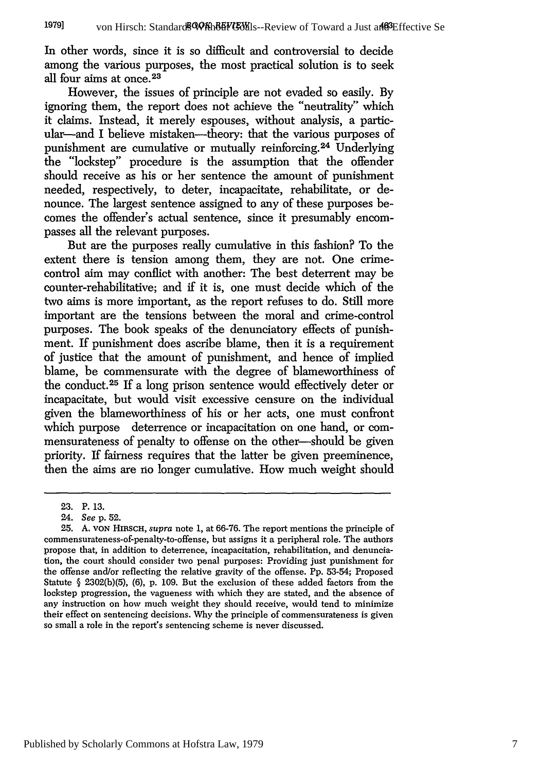In other words, since it is so difficult and controversial to decide among the various purposes, the most practical solution is to seek all four aims at once. **<sup>23</sup>**

However, the issues of principle are not evaded so easily. By ignoring them, the report does not achieve the "neutrality" which it claims. Instead, it merely espouses, without analysis, a particular-and I believe mistaken-theory: that the various purposes of punishment are cumulative or mutually reinforcing.<sup>24</sup> Underlying the "lockstep" procedure is the assumption that the offender should receive as his or her sentence the amount of punishment needed, respectively, to deter, incapacitate, rehabilitate, or denounce. The largest sentence assigned to any of these purposes becomes the offender's actual sentence, since it presumably encompasses all the relevant purposes.

But are the purposes really cumulative in this fashion? To the extent there is tension among them, they are not. One crimecontrol aim may conflict with another: The best deterrent may be counter-rehabilitative; and if it is, one must decide which of the two aims is more important, as the report refuses to do. Still more important are the tensions between the moral and crime-control purposes. The book speaks of the denunciatory effects of punishment. If punishment does ascribe blame, then it is a requirement of justice that the amount of punishment, and hence of implied blame, be commensurate with the degree of blameworthiness of the conduct.<sup>25</sup> If a long prison sentence would effectively deter or incapacitate, but would visit excessive censure on the individual given the blameworthiness of his or her acts, one must confront which purpose deterrence or incapacitation on one hand, or commensurateness of penalty to offense on the other-should be given priority. If fairness requires that the latter be given preeminence, then the aims are rio longer cumulative. How much weight should

<sup>23.</sup> P. 13.

<sup>24.</sup> *See* p. 52.

<sup>25.</sup> **A. VON** HIRSCH, *supra* note 1, at 66-76. The report mentions the principle of commensurateness-of-penalty-to-offense, but assigns it a peripheral role. The authors propose that, in addition to deterrence, incapacitation, rehabilitation, and denunciation, the court should consider two penal purposes: Providing just punishment for the offense and/or reflecting the relative gravity of the offense. Pp. 53-54; Proposed Statute  $\S$  2302(b)(5), (6), p. 109. But the exclusion of these added factors from the lockstep progression, the vagueness with which they are stated, and the absence of any instruction on how much weight they should receive, would tend to minimize their effect on sentencing decisions. Why the principle of commensurateness is given so small a role in the report's sentencing scheme is never discussed.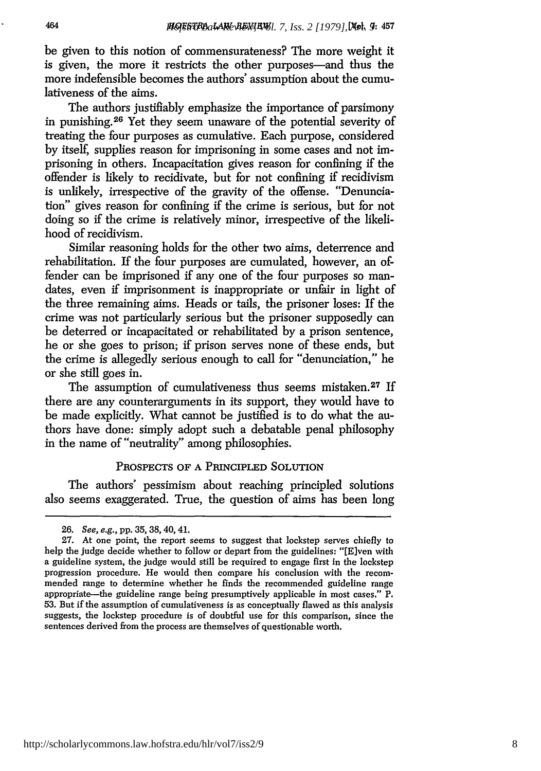be given to this notion of commensurateness? The more weight it is given, the more it restricts the other purposes-and thus the more indefensible becomes the authors' assumption about the cumulativeness of the aims.

The authors justifiably emphasize the importance of parsimony in punishing.26 Yet they seem unaware of the potential severity of treating the four purposes as cumulative. Each purpose, considered by itself, supplies reason for imprisoning in some cases and not imprisoning in others. Incapacitation gives reason for confining if the offender is likely to recidivate, but for not confining if recidivism is unlikely, irrespective of the gravity of the offense. "Denunciation" gives reason for confining if the crime is serious, but for not doing so if the crime is relatively minor, irrespective of the likelihood of recidivism.

Similar reasoning holds for the other two aims, deterrence and rehabilitation. If the four purposes are cumulated, however, an offender can be imprisoned if any one of the four purposes so mandates, even if imprisonment is inappropriate or unfair in light of the three remaining aims. Heads or tails, the prisoner loses: If the crime was not particularly serious but the prisoner supposedly can be deterred or incapacitated or rehabilitated by a prison sentence, he or she goes to prison; if prison serves none of these ends, but the crime is allegedly serious enough to call for "denunciation," he or she still goes in.

The assumption of cumulativeness thus seems mistaken.<sup>27</sup> If there are any counterarguments in its support, they would have to be made explicitly. What cannot be justified is to do what the authors have done: simply adopt such a debatable penal philosophy in the name of "neutrality" among philosophies.

#### PROSPECTS OF A PRINCIPLED SOLUTION

The authors' pessimism about reaching principled solutions also seems exaggerated. True, the question of aims has been long

<sup>26.</sup> See, e.g., pp. 35, 38,40,41.

<sup>27.</sup> At one point, the report seems to suggest that lockstep serves chiefly to help the judge decide whether to follow or depart from the guidelines: "[Elven with a guideline system, the judge would still be required to engage first in the lockstep progression procedure. He would then compare his conclusion with the recommended range to determine whether he finds the recommended guideline range appropriate-the guideline range being presumptively applicable in most cases." P. 53. But if the assumption of cumulativeness is as conceptually flawed as this analysis suggests, the lockstep procedure is of doubtful use for this comparison, since the sentences derived from the process are themselves of questionable worth.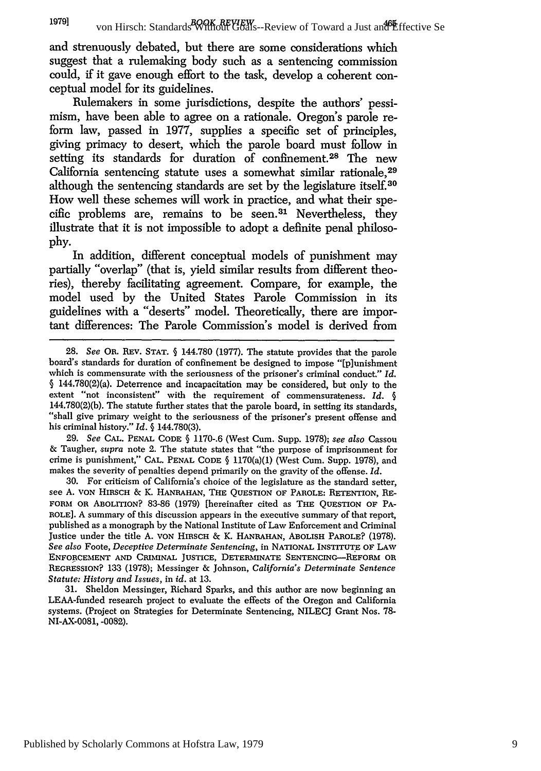and strenuously debated, but there are some considerations which suggest that a rulemaking body such as a sentencing commission could, if it gave enough effort to the task, develop a coherent conceptual model for its guidelines.

Rulemakers in some jurisdictions, despite the authors' pessimism, have been able to agree on a rationale. Oregon's parole reform law, passed in **1977,** supplies a specific set of principles, giving primacy to desert, which the parole board must follow in setting its standards for duration of confinement.28 The new California sentencing statute uses a somewhat similar rationale.<sup>29</sup> although the sentencing standards are set **by** the legislature itself.3 How well these schemes will work in practice, and what their spe**cific** problems are, remains to be seen. 31 Nevertheless, they illustrate that it is not impossible to adopt a definite penal philoso**phy.**

In addition, different conceptual models of punishment may partially "overlap" (that is, yield similar results from different theories), thereby facilitating agreement. Compare, for example, the model used **by** the United States Parole Commission in its guidelines with a "deserts" model. Theoretically, there are important differences: The Parole Commission's model is derived from

29. *See* **CAL. PENAL CODE** § 1170-.6 (West Cum. Supp. 1978); *see also* Cassou & Taugher, *supra* note 2. The statute states that "the purpose of imprisonment for crime is punishment," **CAL. PENAL CODE** § 1170(a)(1) (West Cum. Supp. 1978), and makes the severity of penalties depend primarily on the gravity of the offense. *Id.*

30. For criticism of California's choice of the legislature as the standard setter, see **A. VON** HIRSCH *&* K. **HANRAHAN, THE** QUESTION OF PAROLE: RETENTION, RE-**FORM** OR ABOLITION? 83-86 (1979) [hereinafter cited as THE **QUESTION** OF PA-**ROLE].** A summary of this discussion appears in the executive summary of that report, published as a monograph by the National Institute of Law Enforcement and Criminal Justice under the title A. **VON** HIRSCH & K. **HANRAHAN,** ABOLISH PAROLE? (1978). *See also* Foote, *Deceptive Determinate Sentencing,* in NATIONAL INSTITUTE OF **LAW ENFORCEMENT AND CRIMINAL JUSTICE, DETEMIINATE SENTENCING-REFORI OR** REGRESSION? 133 (1978); Messinger & Johnson, *California's Determinate Sentence Statute: History and Issues,* in *id.* at 13.

31. Sheldon Messinger, Richard Sparks, and this author are now beginning an LEAA-funded research project to evaluate the effects of the Oregon and California systems. (Project on Strategies for Determinate Sentencing, NILECJ Grant Nos. 78- NI-AX-0081, -0082).

**<sup>28.</sup>** *See* **OR. REV. STAT.** § 144.780 (1977). The statute provides that the parole board's standards for duration of confinement be designed to impose "[plunishment which is commensurate with the seriousness of the prisoner's criminal conduct." *Id.* § 144.780(2)(a). Deterrence and incapacitation may be considered, but only to the extent "not inconsistent" with the requirement of commensurateness. *Id. §* 144.780(2)(b). The statute further states that the parole board, in setting its standards, "shall give primary weight to the seriousness of the prisoner's present offense and his criminal history." *Id.* § 144.780(3).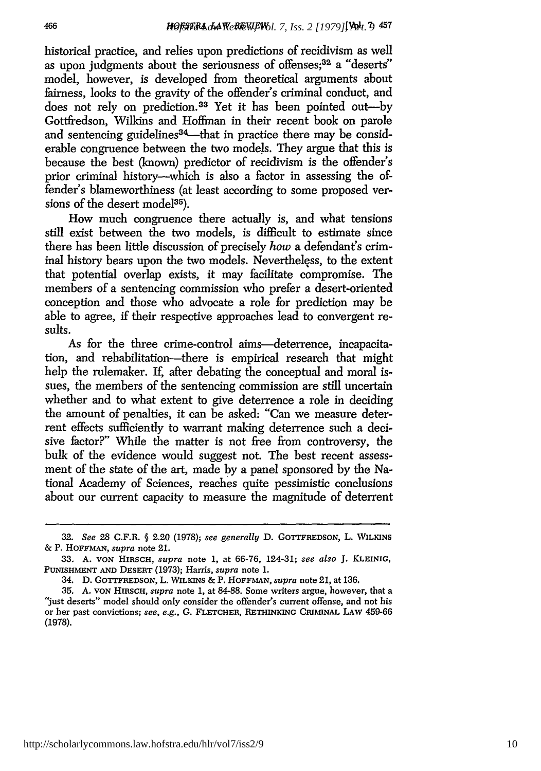historical practice, and relies upon predictions of recidivism as well as upon judgments about the seriousness of offenses;<sup>32</sup> a "deserts" model, however, is developed from theoretical arguments about fairness, looks to the gravity of the offender's criminal conduct, and does not rely on prediction.<sup>33</sup> Yet it has been pointed out-by Gottfredson, Wilkins and Hoffman in their recent book on parole and sentencing guidelines<sup> $34$ </sup>—that in practice there may be considerable congruence between the two models. They argue that this is because the best (known) predictor of recidivism is the offender's prior criminal history-which is also a factor in assessing the offender's blameworthiness (at least according to some proposed versions of the desert model<sup>35</sup>).

How much congruence there actually is, and what tensions still exist between the two models, is difficult to estimate since there has been little discussion of precisely *how* a defendant's criminal history bears upon the two models. Nevertheless, to the extent that potential overlap exists, it may facilitate compromise. The members of a sentencing commission who prefer a desert-oriented conception and those who advocate a role for prediction may be able to agree, if their respective approaches lead to convergent results.

As for the three crime-control aims—deterrence, incapacitation, and rehabilitation-there is empirical research that might help the rulemaker. If, after debating the conceptual and moral issues, the members of the sentencing commission are still uncertain whether and to what extent to give deterrence a role in deciding the amount of penalties, it can be asked: "Can we measure deterrent effects sufficiently to warrant making deterrence such a decisive factor?" While the matter is not free from controversy, the bulk of the evidence would suggest not. The best recent assessment of the state of the art, made by a panel sponsored by the National Academy of Sciences, reaches quite pessimistic conclusions about our current capacity to measure the magnitude of deterrent

<sup>32.</sup> *See* 28 C.F.R. § 2.20 (1978); *see generally* D. GOTTFREDSON, L. **WILKINS** & P. **HOFFMAN,** *supra* note 21.

*<sup>33.</sup>* **A. VON HIRSCH,** *supra* note 1, at 66-76, 124-31; *see also* J. **KLEINIG, PUNISHMENT AND DESERT** (1973); Harris, *supra* note 1.

<sup>34.</sup> D. GOTTFREDSON, L. WILKINS & P. HOFFMAN, *supra* note 21, at 136.

<sup>35.</sup> A. **VON** HIRSCH, *supra* note 1, at 84-88. Some writers argue, however, that a "just deserts" model should only consider the offender's current offense, and not his or her past convictions; *see, e.g.,* G. FLETCHER, **RETHINKING** CRIMINAL LAW 459-66 (1978).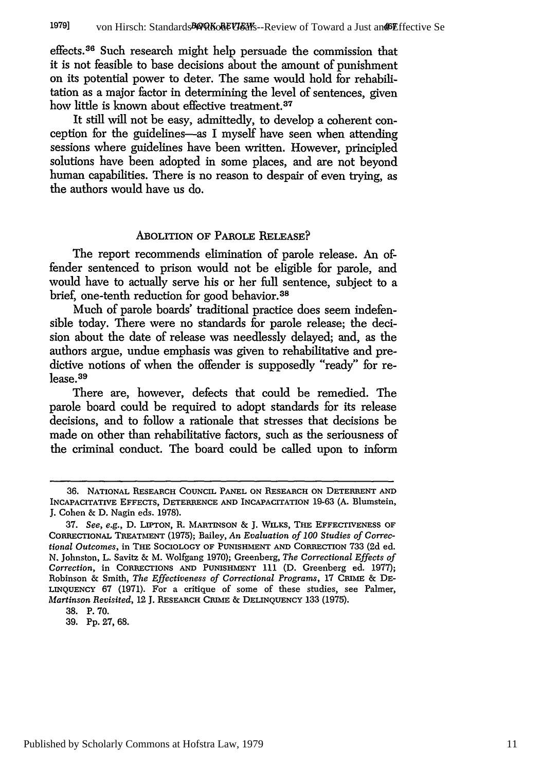effects.36 Such research might help persuade the commission that it is not feasible to base decisions about the amount of punishment on its potential power to deter. The same would hold for rehabilitation as a major factor in determining the level of sentences, given how little is known about effective treatment.<sup>37</sup>

It still will not be easy, admittedly, to develop a coherent conception for the guidelines-as I myself have seen when attending sessions where guidelines have been written. However, principled solutions have been adopted in some places, and are not beyond human capabilities. There is no reason to despair of even trying, as the authors would have us do.

#### ABOLITION OF PAROLE RELEASE?

The report recommends elimination of parole release. An offender sentenced to prison would not be eligible for parole, and would have to actually serve his or her full sentence, subject to a brief, one-tenth reduction for good behavior. <sup>38</sup>

Much of parole boards' traditional practice does seem indefensible today. There were no standards for parole release; the decision about the date of release was needlessly delayed; and, as the authors argue, undue emphasis was given to rehabilitative and predictive notions of when the offender is supposedly "ready" for release.<sup>39</sup>

There are, however, defects that could be remedied. The parole board could be required to adopt standards for its release decisions, and to follow a rationale that stresses that decisions be made on other than rehabilitative factors, such as the seriousness of the criminal conduct. The board could be called upon to inform

**<sup>36.</sup> NATIONAL** RESEARCH **COUNCIL PANEL ON** RESEARCH **ON** DETERRENT **AND INCAPACITATIVE EFFECTS,** DETERRENCE **AND** INCAPACITATION 19-63 **(A.** Blumstein, J. Cohen & D. Nagin eds. 1978).

<sup>37.</sup> *See, e.g.,* D. LIPTON, R. **MARTINSON &** J. WILKS, THE EFFECTIVENESS OF CORRECTIONAL TREATMENT (1975); Bailey, *An Evaluation of 100 Studies of Correctional Outcomes,* in **THE SOCIOLOGY OF PUNISHMENT AND CORRECTION** 733 **(2d** ed. N. Johnston, L. Savitz & M. Wolfgang 1970); Greenberg, *The Correctional Effects of Correction,* in CORRECTIONS **AND PUNISHMENT** 111 **(D.** Greenberg ed. 1977); Robinson **&** Smith, *The Effectiveness of Correctional Programs,* **17 CRIME & DE-**LINQUENCY 67 (1971). For a critique of some of these studies, see Palmer, *Martinson Revisited,* 12 J. RESEARCH **CRIME & DELINQUENCY** 133 (1975).

<sup>38.</sup> P. 70.

**<sup>39.</sup>** Pp. 27, 68.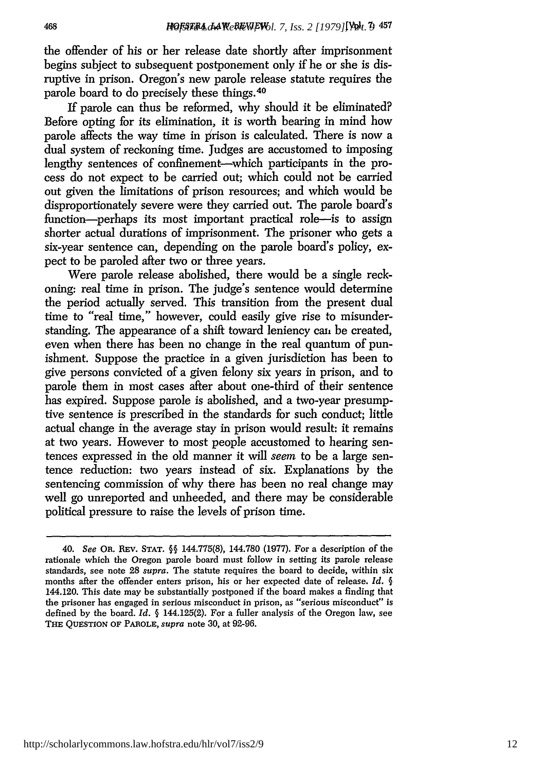the offender of his or her release date shortly after imprisonment begins subject to subsequent postponement only *if* he or she is disruptive in prison. Oregon's new parole release statute requires the parole board to do precisely these things. <sup>40</sup>

If parole can thus be reformed, why should it be eliminated? Before opting for its elimination, it is worth bearing in mind how parole affects the way time in prison is calculated. There is now a dual system of reckoning time. Judges are accustomed to imposing lengthy sentences of confinement-which participants in the process do not expect to be carried out; which could not be carried out given the limitations of prison resources; and which would be disproportionately severe were they carried out. The parole board's function-perhaps its most important practical role-is to assign shorter actual durations of imprisonment. The prisoner who gets a six-year sentence can, depending on the parole board's policy, expect to be paroled after two or three years.

Were parole release abolished, there would be a single reckoning: real time in prison. The judge's sentence would determine the period actually served. This transition from the present dual time to "real time," however, could easily give rise to misunderstanding. The appearance of a shift toward leniency can, be created, even when there has been no change in the real quantum of punishment. Suppose the practice in a given jurisdiction has been to give persons convicted of a given felony six years in prison, and to parole them in most cases after about one-third of their sentence has expired. Suppose parole is abolished, and a two-year presumptive sentence is prescribed in the standards for such conduct; little actual change in the average stay in prison would result: it remains at two years. However to most people accustomed to hearing sentences expressed in the old manner it will seem to be a large sentence reduction: two years instead of six. Explanations by the sentencing commission of why there has been no real change may well go unreported and unheeded, and there may be considerable political pressure to raise the levels of prison time.

<sup>40.</sup> *See* OR. REv. STAT. **§§** 144.775(8), 144.780 (1977). For a description of the rationale which the Oregon parole board must follow in setting its parole release standards, see note 28 *supra.* The statute requires the board to decide, within six months after the offender enters prison, his or her expected date of release. *Id.* **§** 144.120. This date may be substantially postponed if the board makes a finding that the prisoner has engaged in serious misconduct in prison, as "serious misconduct" is defined by the board. *Id.* **§** 144.125(2). For a fuller analysis of the Oregon law, see **THE QUESTION** OF PAROLE, *supra* note 30, at 92-96.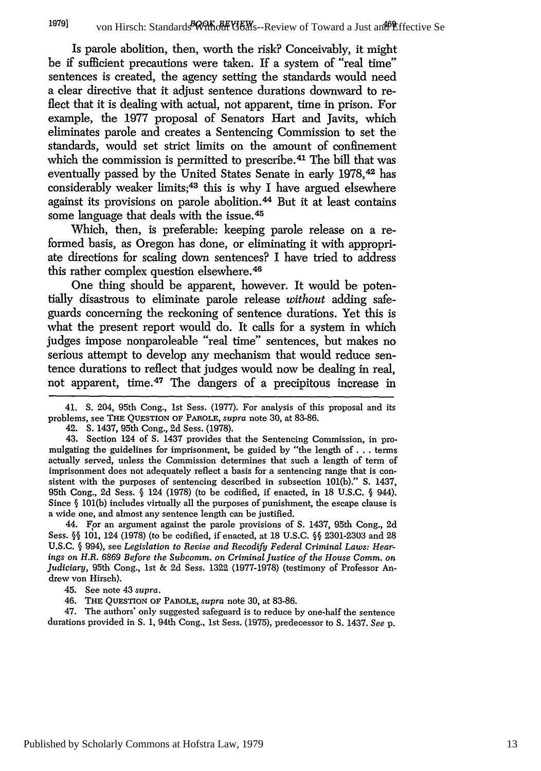Is parole abolition, then, worth the risk? Conceivably, it might be if sufficient precautions were taken. If a system of "real time" sentences is created, the agency setting the standards would need a clear directive that it adjust sentence durations downward to reflect that it is dealing with actual, not apparent, time in prison. For example, the **1977** proposal of Senators Hart and Javits, which eliminates parole and creates a Sentencing Commission to set the standards, would set strict limits on the amount of confinement which the commission is permitted to prescribe.<sup>41</sup> The bill that was eventually passed **by** the United States Senate in early **1978,42** has considerably weaker limits;<sup>43</sup> this is why I have argued elsewhere against its provisions on parole abolition. 44 But it at least contains some language that deals with the issue. <sup>45</sup>

Which, then, is preferable: keeping parole release on a reformed basis, as Oregon has done, or eliminating it with appropriate directions for scaling down sentences? I have tried to address this rather complex question elsewhere.<sup>46</sup>

One thing should be apparent, however. It would be potentially disastrous to eliminate parole release *without* adding safeguards concerning the reckoning of sentence durations. Yet this is what the present report would do. It calls for a system in which judges impose nonparoleable "real time" sentences, but makes no serious attempt to develop any mechanism that would reduce sentence durations to reflect that judges would now be dealing in real, not apparent, time. 47 The dangers of a precipitous increase in

41. S. 204, 95th Cong., **1st** Sess. **(1977).** For analysis of this proposal and its problems, see **THE QUESTION** OF PAROLE, *supra* note **30,** at 83-86.

42. S. 1437, 95th Cong., 2d Sess. (1978).

43. Section 124 of **S.** 1437 provides that the Sentencing Commission, in promulgating the guidelines for imprisonment, be guided **by** "the length of... terms actually served, unless the Commission determines that such a length of term of imprisonment does not adequately reflect a basis for a sentencing range that is consistent with the purposes of sentencing described in subsection 101(b)." S. 1437, 95th Cong., 2d Sess. **§** 124 (1978) (to be codified, if enacted, in 18 U.S.C. **§** 944). Since **§** 101(b) includes virtually all the purposes of punishment, the escape clause is a wide one, and almost any sentence length can be justified.

44. For an argument against the parole provisions of **S.** 1437, 95th Cong., 2d Sess. *§§* 101, 124 (1978) (to be codified, if enacted, at 18 U.S.C. **§§** 2301-2303 and 28 U.S.C. **§** 994), see *Legislation to Revise and Recodify Federal Criminal Laws: Hearings on H.R. 6869 Before the Subcomm. on Criminal Justice of the House Comm. an Judiciary,* 95th Cong., 1st & 2d Sess. 1322 (1977-1978) (testimony of Professor Andrew von Hirsch).

45. See note 43 *supra.*

46. THE **QUESTION** OF PAROLE, *supra* note **30,** at 83-86.

47. The authors' only suggested safeguard is to reduce **by** one-half the sentence durations provided in **S.** 1, 94th Cong., **1st** Sess. **(1975),** predecessor to **S.** 1437. *See* p.